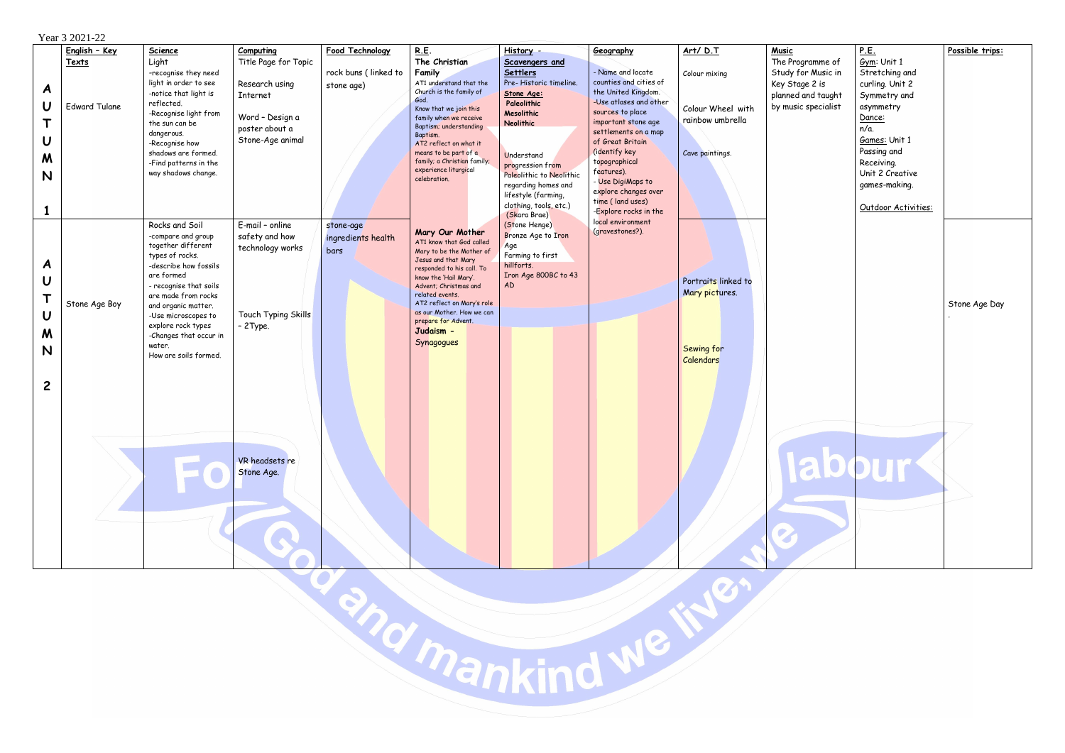|                                                                            | $1$ cal $3$ $2021 - 22$                        |                                                                                                                                                                                                                                                                                                        |                                                                                                                            |                                                       |                                                                                                                                                                                                                                                                                                                           |                                                                                                                                                                                                                                                                                                      |                                                                                                                                                                                                                                                                                                                                            |                                                                                       |                                                               |
|----------------------------------------------------------------------------|------------------------------------------------|--------------------------------------------------------------------------------------------------------------------------------------------------------------------------------------------------------------------------------------------------------------------------------------------------------|----------------------------------------------------------------------------------------------------------------------------|-------------------------------------------------------|---------------------------------------------------------------------------------------------------------------------------------------------------------------------------------------------------------------------------------------------------------------------------------------------------------------------------|------------------------------------------------------------------------------------------------------------------------------------------------------------------------------------------------------------------------------------------------------------------------------------------------------|--------------------------------------------------------------------------------------------------------------------------------------------------------------------------------------------------------------------------------------------------------------------------------------------------------------------------------------------|---------------------------------------------------------------------------------------|---------------------------------------------------------------|
| A<br>$\cup$<br>Т<br>U<br>M<br>N<br>$\mathbf{1}$                            | English - Key<br>Texts<br><b>Edward Tulane</b> | <b>Science</b><br>Light<br>-recognise they need<br>light in order to see<br>-notice that light is<br>reflected.<br>-Recognise light from<br>the sun can be<br>dangerous.<br>-Recognise how<br>shadows are formed.<br>-Find patterns in the<br>way shadows change.                                      | Computing<br>Title Page for Topic<br>Research using<br>Internet<br>Word - Design a<br>poster about a<br>Stone-Age animal   | Food Technology<br>rock buns (linked to<br>stone age) | <b>R.E.</b><br>The Christian<br>Family<br>AT1 understand that the<br>Church is the family of<br>God.<br>Know that we join this<br>family when we receive<br>Baptism; understanding<br>Baptism.<br>AT2 reflect on what it<br>means to be part of a<br>family; a Christian family;<br>experience liturgical<br>celebration. | History -<br><b>Scavengers and</b><br><b>Settlers</b><br>Pre-Historic timeline.<br>Stone Age:<br>Paleolithic<br>Mesolithic<br><b>Neolithic</b><br>Understand<br>progression from<br>Paleolithic to Neolithic<br>regarding homes and<br>lifestyle (farming,<br>clothing, tools, etc.)<br>(Skara Brae) | Geography<br>- Name and locate<br>counties and cities of<br>the United Kingdom.<br>-Use atlases and other<br>sources to place<br>important stone age<br>settlements on a map<br>of Great Britain<br>(identify key<br>topographical<br>features).<br>- Use DigiMaps to<br>explore changes over<br>time (land uses)<br>-Explore rocks in the | Art/ D.T<br>Colour mixing<br>Colour Wheel with<br>rainbow umbrella<br>Cave paintings. | <b>Music</b><br>The Pr<br>Study<br>Key St<br>planne<br>by mus |
| A<br>$\mathbf U$<br>$\mathsf T$<br>$\mathsf U$<br>M<br>N<br>$\overline{c}$ | Stone Age Boy                                  | Rocks and Soil<br>-compare and group<br>together different<br>types of rocks.<br>-describe how fossils<br>are formed<br>- recognise that soils<br>are made from rocks<br>and organic matter.<br>-Use microscopes to<br>explore rock types<br>-Changes that occur in<br>water.<br>How are soils formed. | E-mail - online<br>safety and how<br>technology works<br>Touch Typing Skills<br>$-2$ Type.<br>VR headsets re<br>Stone Age. | stone-age<br>ingredients health<br>bars               | Mary Our Mother<br>AT1 know that God called<br>Mary to be the Mother of<br>Jesus and that Mary<br>responded to his call. To<br>know the 'Hail Mary'.<br>Advent; Christmas and<br>related events.<br>AT2 reflect on Mary's role<br>as our Mother. How we can<br>prepare for Advent.<br>Judaism -<br>Synagogues             | (Stone Henge)<br>Bronze Age to Iron<br>Age<br>Farming to first<br>hillforts.<br>Iron Age 800BC to 43<br>AD                                                                                                                                                                                           | local environment<br>(gravestones?).                                                                                                                                                                                                                                                                                                       | Portraits linked to<br>Mary pictures.<br>Sewing for<br><b>Calendars</b>               |                                                               |
| Kmankind                                                                   |                                                |                                                                                                                                                                                                                                                                                                        |                                                                                                                            |                                                       |                                                                                                                                                                                                                                                                                                                           |                                                                                                                                                                                                                                                                                                      |                                                                                                                                                                                                                                                                                                                                            |                                                                                       |                                                               |

 $V_{\text{e}ar}$  3 2021-22

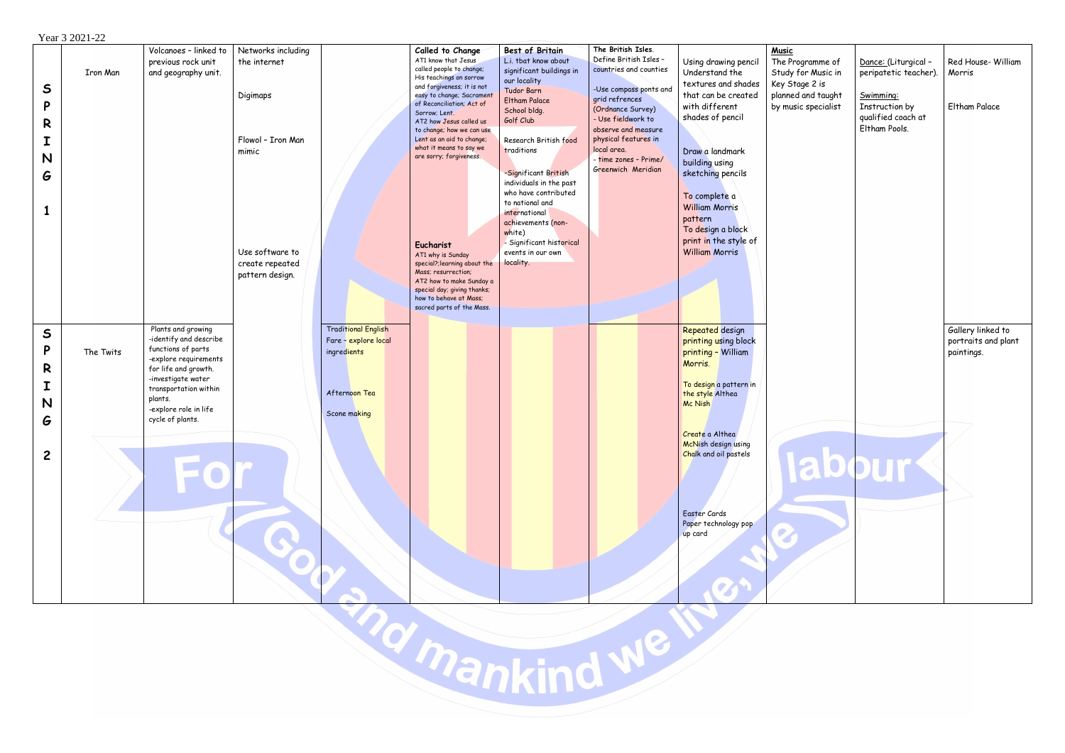## Year 3 2021-22

|                |                 | Volcanoes - linked to  | Networks including |                            | Called to Change                                        | <b>Best of Britain</b>   | The British Isles.     |                             | <b>Music</b> |
|----------------|-----------------|------------------------|--------------------|----------------------------|---------------------------------------------------------|--------------------------|------------------------|-----------------------------|--------------|
|                |                 | previous rock unit     | the internet       |                            | AT1 know that Jesus                                     | L.i. tbat know about     | Define British Isles - | Using drawing pencil        | The Pro      |
|                | <b>Iron Man</b> | and geography unit.    |                    |                            | called people to change;                                | significant buildings in | countries and counties | Understand the              | Study f      |
|                |                 |                        |                    |                            | His teachings on sorrow                                 | our locality             |                        | textures and shades         | Key Sto      |
| $\mathsf{s}$   |                 |                        |                    |                            | and forgiveness; it is not                              | <b>Tudor Barn</b>        | -Use compass ponts and | that can be created         |              |
|                |                 |                        | Digimaps           |                            | easy to change; Sacrament<br>of Reconciliation; Act of  | <b>Eltham Palace</b>     | grid refrences         |                             | planned      |
| P              |                 |                        |                    |                            | Sorrow; Lent.                                           | School bldg.             | (Ordnance Survey)      | with different              | by musi      |
| R              |                 |                        |                    |                            | AT2 how Jesus called us                                 | Golf Club                | - Use fieldwork to     | shades of pencil            |              |
|                |                 |                        |                    |                            | to change; how we can use                               |                          | observe and measure    |                             |              |
| I              |                 |                        | Flowol - Iron Man  |                            | Lent as an aid to change;                               | Research British food    | physical features in   |                             |              |
|                |                 |                        | mimic              |                            | what it means to say we<br>are sorry; forgiveness.      | traditions               | local area.            | Draw a landmark             |              |
| N              |                 |                        |                    |                            |                                                         |                          | - time zones - Prime/  | building using              |              |
| G              |                 |                        |                    |                            |                                                         | -Significant British     | Greenwich Meridian     | sketching pencils           |              |
|                |                 |                        |                    |                            |                                                         | individuals in the past  |                        |                             |              |
|                |                 |                        |                    |                            |                                                         | who have contributed     |                        | To complete a               |              |
|                |                 |                        |                    |                            |                                                         | to national and          |                        | <b>William Morris</b>       |              |
| $\mathbf{1}$   |                 |                        |                    |                            |                                                         | international            |                        |                             |              |
|                |                 |                        |                    |                            |                                                         | achievements (non-       |                        | pattern                     |              |
|                |                 |                        |                    |                            |                                                         | white)                   |                        | To design a block           |              |
|                |                 |                        |                    |                            | <b>Eucharist</b>                                        | - Significant historical |                        | print in the style of       |              |
|                |                 |                        | Use software to    |                            | AT1 why is Sunday                                       | events in our own        |                        | <b>William Morris</b>       |              |
|                |                 |                        | create repeated    |                            | special?; learning about the                            | locality.                |                        |                             |              |
|                |                 |                        | pattern design.    |                            | Mass; resurrection;                                     |                          |                        |                             |              |
|                |                 |                        |                    |                            | AT2 how to make Sunday a<br>special day; giving thanks; |                          |                        |                             |              |
|                |                 |                        |                    |                            | how to behave at Mass;                                  |                          |                        |                             |              |
|                |                 |                        |                    |                            | sacred parts of the Mass.                               |                          |                        |                             |              |
|                |                 |                        |                    |                            |                                                         |                          |                        |                             |              |
|                |                 | Plants and growing     |                    | <b>Traditional English</b> |                                                         |                          |                        | Repeated design             |              |
| $\mathsf{S}$   |                 | -identify and describe |                    | Fare - explore local       |                                                         |                          |                        | printing using block        |              |
| P              | The Twits       | functions of parts     |                    | ingredients                |                                                         |                          |                        |                             |              |
|                |                 | -explore requirements  |                    |                            |                                                         |                          |                        | printing - William          |              |
| R              |                 | for life and growth.   |                    |                            |                                                         |                          |                        | Morris.                     |              |
|                |                 | -investigate water     |                    |                            |                                                         |                          |                        |                             |              |
| I              |                 | transportation within  |                    | Afternoon Tea              |                                                         |                          |                        | To design a pattern in      |              |
| N              |                 | plants.                |                    |                            |                                                         |                          |                        | the style Althea<br>Mc Nish |              |
|                |                 | -explore role in life  |                    | Scone making               |                                                         |                          |                        |                             |              |
| G              |                 | cycle of plants.       |                    |                            |                                                         |                          |                        |                             |              |
|                |                 |                        |                    |                            |                                                         |                          |                        | Create a Althea             |              |
|                |                 |                        |                    |                            |                                                         |                          |                        | McNish design using         |              |
| $\overline{c}$ |                 |                        |                    |                            |                                                         |                          |                        | Chalk and oil pastels       |              |
|                |                 |                        |                    |                            |                                                         |                          |                        |                             |              |
|                |                 |                        |                    |                            |                                                         |                          |                        |                             |              |
|                |                 |                        |                    |                            |                                                         |                          |                        |                             |              |
|                |                 |                        |                    |                            |                                                         |                          |                        |                             |              |
|                |                 |                        |                    |                            |                                                         |                          |                        |                             |              |
|                |                 |                        |                    |                            |                                                         |                          |                        | Easter Cards                |              |
|                |                 |                        |                    |                            |                                                         |                          |                        | Paper technology pop        |              |
|                |                 |                        |                    |                            |                                                         |                          |                        | up card                     |              |
|                |                 |                        |                    |                            |                                                         |                          |                        |                             |              |
|                |                 |                        |                    |                            |                                                         |                          |                        |                             |              |
|                |                 |                        |                    |                            |                                                         |                          |                        |                             |              |
|                |                 |                        |                    |                            |                                                         |                          |                        |                             |              |
|                |                 |                        |                    |                            |                                                         |                          |                        |                             |              |
|                |                 |                        |                    |                            |                                                         |                          |                        |                             |              |
|                |                 |                        |                    |                            |                                                         |                          |                        |                             |              |
|                |                 |                        |                    |                            |                                                         |                          |                        |                             |              |
|                |                 |                        |                    |                            |                                                         |                          |                        |                             |              |
|                |                 |                        |                    |                            |                                                         |                          |                        |                             |              |
|                |                 |                        |                    |                            |                                                         |                          |                        |                             |              |
|                |                 |                        |                    |                            |                                                         |                          |                        |                             |              |
|                |                 |                        |                    |                            |                                                         |                          |                        |                             |              |
|                |                 |                        |                    |                            |                                                         |                          |                        |                             |              |
|                |                 |                        |                    |                            |                                                         |                          |                        |                             |              |
|                |                 |                        |                    |                            | <b>Prankind</b>                                         |                          |                        |                             |              |
|                |                 |                        |                    |                            |                                                         |                          |                        |                             |              |